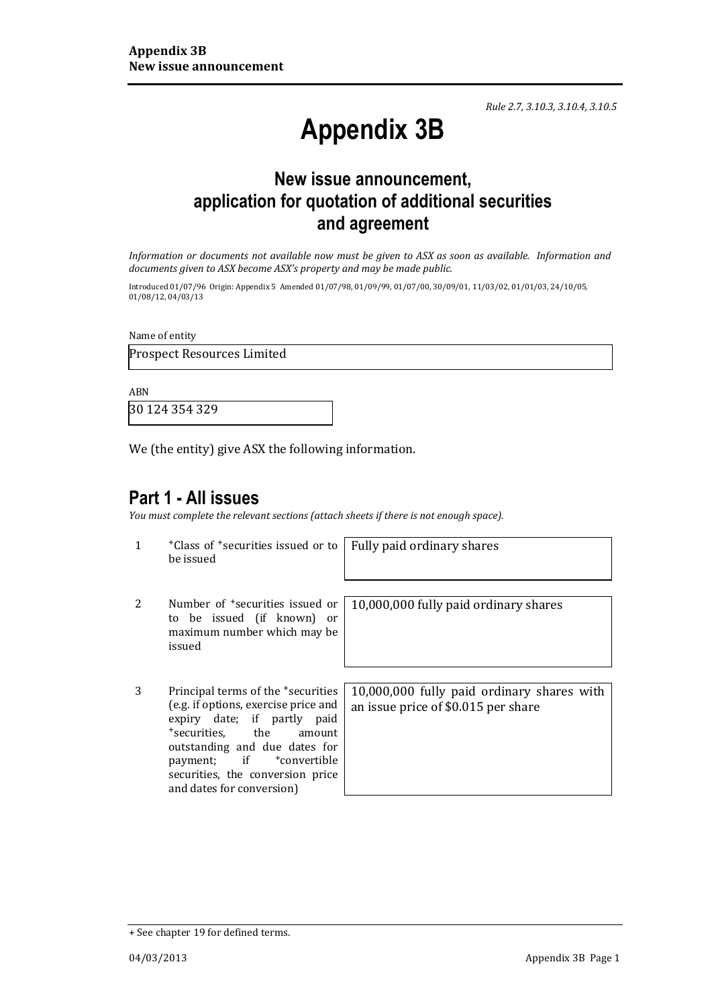*Rule 2.7, 3.10.3, 3.10.4, 3.10.5*

# **Appendix 3B**

## **New issue announcement, application for quotation of additional securities and agreement**

*Information or documents not available now must be given to ASX as soon as available. Information and documents given to ASX become ASX's property and may be made public.*

Introduced 01/07/96 Origin: Appendix 5 Amended 01/07/98, 01/09/99, 01/07/00, 30/09/01, 11/03/02, 01/01/03, 24/10/05, 01/08/12, 04/03/13

Name of entity

Prospect Resources Limited

ABN

30 124 354 329

We (the entity) give ASX the following information.

#### **Part 1 - All issues**

*You must complete the relevant sections (attach sheets if there is not enough space).*

1 +Class of +securities issued or to be issued

Fully paid ordinary shares

- 2 Number of <sup>+</sup>securities issued or to be issued (if known) or maximum number which may be issued
- 3 Principal terms of the +securities (e.g. if options, exercise price and expiry date; if partly paid +securities, the amount outstanding and due dates for payment; if <sup>+</sup>convertible securities, the conversion price and dates for conversion)

10,000,000 fully paid ordinary shares

10,000,000 fully paid ordinary shares with an issue price of \$0.015 per share

<sup>+</sup> See chapter 19 for defined terms.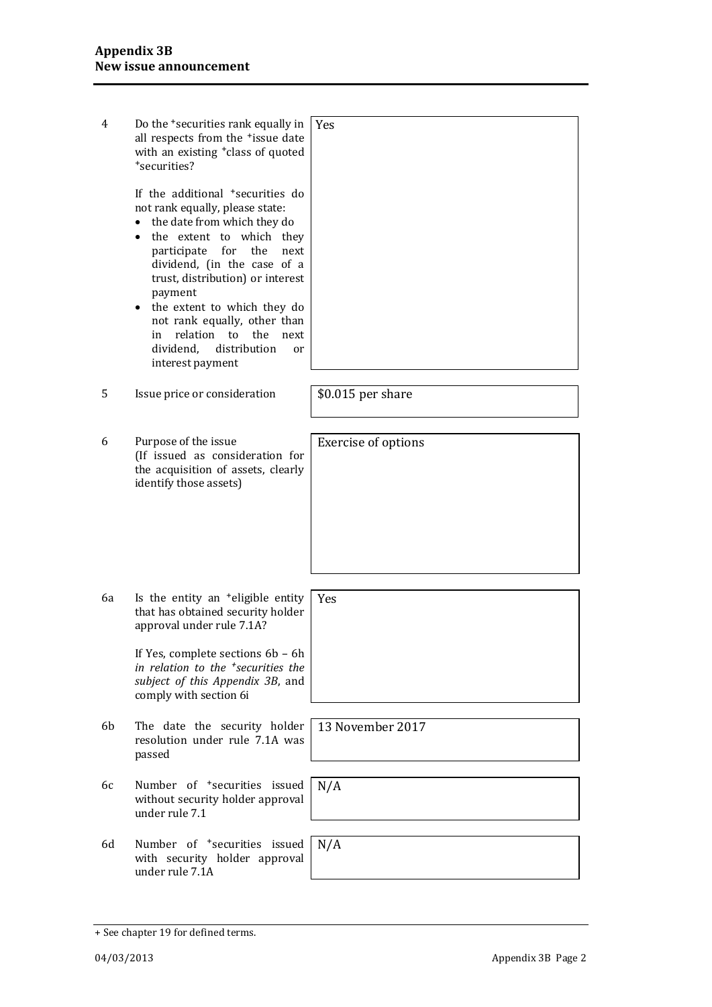| 4  | Do the <sup>+</sup> securities rank equally in<br>all respects from the *issue date<br>with an existing <sup>+</sup> class of quoted<br>*securities?<br>If the additional <sup>+</sup> securities do<br>not rank equally, please state:<br>the date from which they do<br>$\bullet$<br>the extent to which they<br>$\bullet$<br>participate<br>for<br>the<br>next<br>dividend, (in the case of a<br>trust, distribution) or interest<br>payment<br>• the extent to which they do<br>not rank equally, other than<br>relation to<br>the<br>in<br>next<br>distribution<br>dividend,<br>or | Yes                        |
|----|-----------------------------------------------------------------------------------------------------------------------------------------------------------------------------------------------------------------------------------------------------------------------------------------------------------------------------------------------------------------------------------------------------------------------------------------------------------------------------------------------------------------------------------------------------------------------------------------|----------------------------|
|    | interest payment                                                                                                                                                                                                                                                                                                                                                                                                                                                                                                                                                                        |                            |
| 5  | Issue price or consideration                                                                                                                                                                                                                                                                                                                                                                                                                                                                                                                                                            | \$0.015 per share          |
| 6  | Purpose of the issue<br>(If issued as consideration for<br>the acquisition of assets, clearly<br>identify those assets)                                                                                                                                                                                                                                                                                                                                                                                                                                                                 | <b>Exercise of options</b> |
|    |                                                                                                                                                                                                                                                                                                                                                                                                                                                                                                                                                                                         |                            |
| 6а | Is the entity an <sup>+</sup> eligible entity<br>that has obtained security holder<br>approval under rule 7.1A?<br>If Yes, complete sections 6b - 6h<br>in relation to the <sup>+</sup> securities the<br>subject of this Appendix 3B, and<br>comply with section 6i                                                                                                                                                                                                                                                                                                                    | Yes                        |
| 6b | The date the security holder<br>resolution under rule 7.1A was<br>passed                                                                                                                                                                                                                                                                                                                                                                                                                                                                                                                | 13 November 2017           |
| 6с | Number of <sup>+</sup> securities issued<br>without security holder approval<br>under rule 7.1                                                                                                                                                                                                                                                                                                                                                                                                                                                                                          | N/A                        |
| 6d | Number of <sup>+</sup> securities issued<br>with security holder approval<br>under rule 7.1A                                                                                                                                                                                                                                                                                                                                                                                                                                                                                            | N/A                        |

<sup>+</sup> See chapter 19 for defined terms.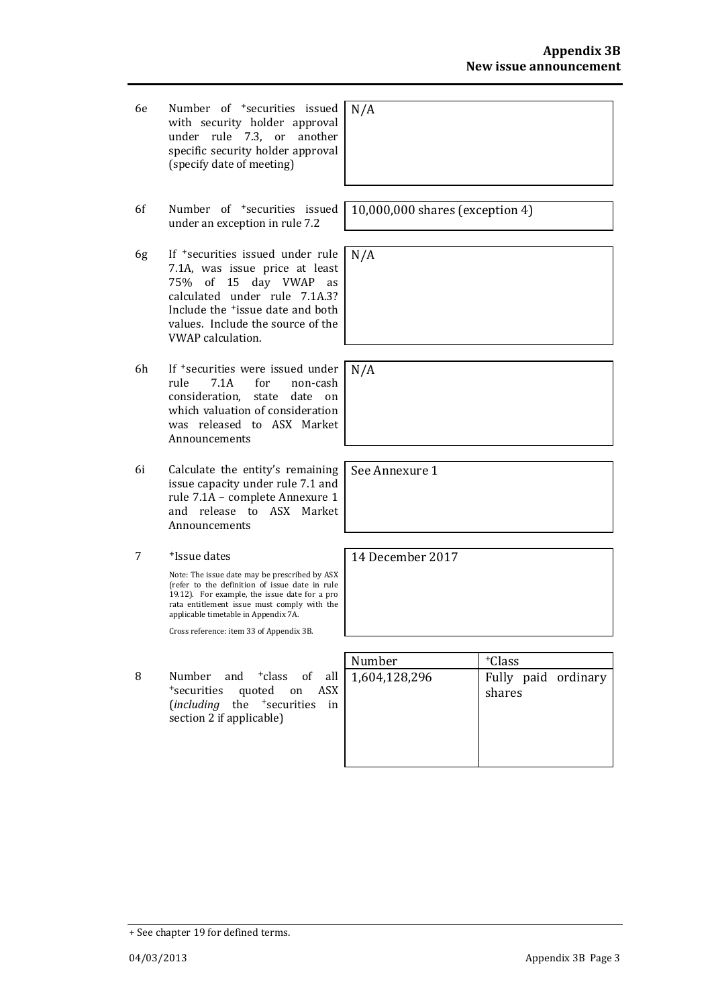- 6e Number of +securities issued with security holder approval under rule 7.3, or another specific security holder approval (specify date of meeting)
- 6f Number of +securities issued under an exception in rule 7.2
- 6g If +securities issued under rule 7.1A, was issue price at least 75% of 15 day VWAP as calculated under rule 7.1A.3? Include the +issue date and both values. Include the source of the VWAP calculation.
- 6h If +securities were issued under rule 7.1A for non-cash consideration, state date on which valuation of consideration was released to ASX Market Announcements
- 6i Calculate the entity's remaining issue capacity under rule 7.1 and rule 7.1A – complete Annexure 1 and release to ASX Market Announcements
- 7 +Issue dates

Note: The issue date may be prescribed by ASX (refer to the definition of issue date in rule 19.12). For example, the issue date for a pro rata entitlement issue must comply with the applicable timetable in Appendix 7A.

Cross reference: item 33 of Appendix 3B.

8 Number and <sup>+</sup>class of all <sup>+</sup>securities quoted on ASX (*including* the <sup>+</sup>securities in section 2 if applicable)

N/A

10,000,000 shares (exception 4)

N/A

N/A

See Annexure 1

14 December 2017

| Number        | <sup>+</sup> Class            |
|---------------|-------------------------------|
| 1,604,128,296 | Fully paid ordinary<br>shares |

<sup>+</sup> See chapter 19 for defined terms.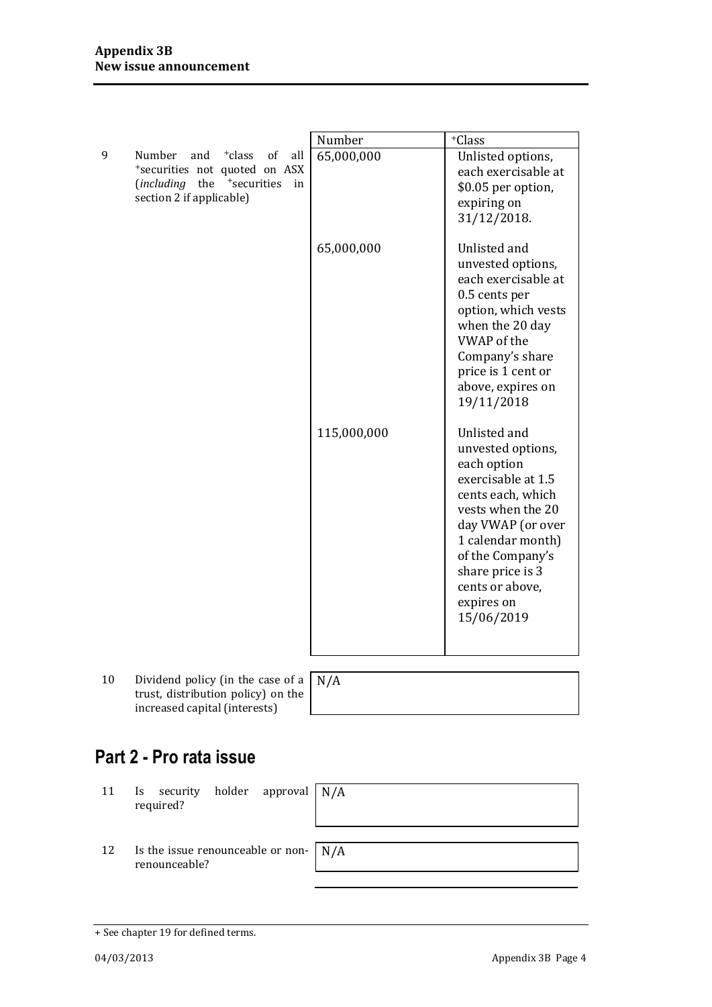|   |                                                                                                                                                               | Number      | +Class                                                                                                                                                                                                                                            |
|---|---------------------------------------------------------------------------------------------------------------------------------------------------------------|-------------|---------------------------------------------------------------------------------------------------------------------------------------------------------------------------------------------------------------------------------------------------|
| 9 | Number<br><sup>+</sup> class<br>of<br>and<br>all<br>*securities not quoted on ASX<br>(including the <sup>+</sup> securities<br>in<br>section 2 if applicable) | 65,000,000  | Unlisted options,<br>each exercisable at<br>\$0.05 per option,<br>expiring on<br>31/12/2018.                                                                                                                                                      |
|   |                                                                                                                                                               | 65,000,000  | Unlisted and<br>unvested options,<br>each exercisable at<br>0.5 cents per<br>option, which vests<br>when the 20 day<br><b>VWAP</b> of the<br>Company's share<br>price is 1 cent or<br>above, expires on<br>19/11/2018                             |
|   |                                                                                                                                                               | 115,000,000 | Unlisted and<br>unvested options,<br>each option<br>exercisable at 1.5<br>cents each, which<br>vests when the 20<br>day VWAP (or over<br>1 calendar month)<br>of the Company's<br>share price is 3<br>cents or above,<br>expires on<br>15/06/2019 |

10 Dividend policy (in the case of a  $\left[ \right]$ trust, distribution policy) on the increased capital (interests)

N/A

## **Part 2 - Pro rata issue**

11 Is security holder approval required?

N/A

12 Is the issue renounceable or nonrenounceable?

N/A

<sup>+</sup> See chapter 19 for defined terms.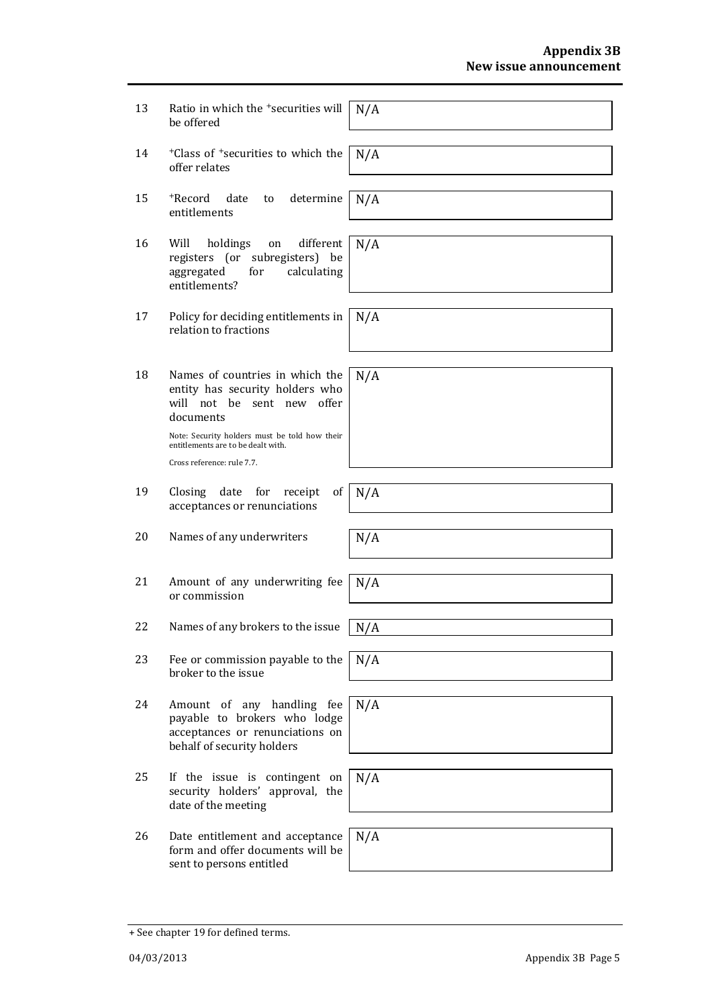| 13 | Ratio in which the <sup>+</sup> securities will<br>be offered                                                               | N/A |
|----|-----------------------------------------------------------------------------------------------------------------------------|-----|
| 14 | <sup>+</sup> Class of <sup>+</sup> securities to which the<br>offer relates                                                 | N/A |
|    |                                                                                                                             |     |
| 15 | +Record<br>determine<br>date<br>to<br>entitlements                                                                          | N/A |
|    |                                                                                                                             |     |
| 16 | Will<br>holdings<br>different<br>on<br>registers (or subregisters) be<br>aggregated<br>for<br>calculating<br>entitlements?  | N/A |
|    |                                                                                                                             |     |
| 17 | Policy for deciding entitlements in<br>relation to fractions                                                                | N/A |
|    |                                                                                                                             |     |
| 18 | Names of countries in which the<br>entity has security holders who<br>will not be sent new<br>offer<br>documents            | N/A |
|    | Note: Security holders must be told how their<br>entitlements are to be dealt with.                                         |     |
|    | Cross reference: rule 7.7.                                                                                                  |     |
|    |                                                                                                                             |     |
| 19 | date for<br>Closing<br>receipt<br>of<br>acceptances or renunciations                                                        | N/A |
|    |                                                                                                                             |     |
| 20 | Names of any underwriters                                                                                                   | N/A |
|    |                                                                                                                             |     |
| 21 | Amount of any underwriting fee<br>or commission                                                                             | N/A |
|    |                                                                                                                             |     |
| 22 | Names of any brokers to the issue                                                                                           | N/A |
|    |                                                                                                                             |     |
| 23 | Fee or commission payable to the<br>broker to the issue                                                                     | N/A |
|    |                                                                                                                             |     |
| 24 | Amount of any handling fee<br>payable to brokers who lodge<br>acceptances or renunciations on<br>behalf of security holders | N/A |
|    |                                                                                                                             |     |
| 25 | If the issue is contingent on<br>security holders' approval, the<br>date of the meeting                                     | N/A |
|    |                                                                                                                             |     |
| 26 | Date entitlement and acceptance<br>form and offer documents will be<br>sent to persons entitled                             | N/A |

<sup>+</sup> See chapter 19 for defined terms.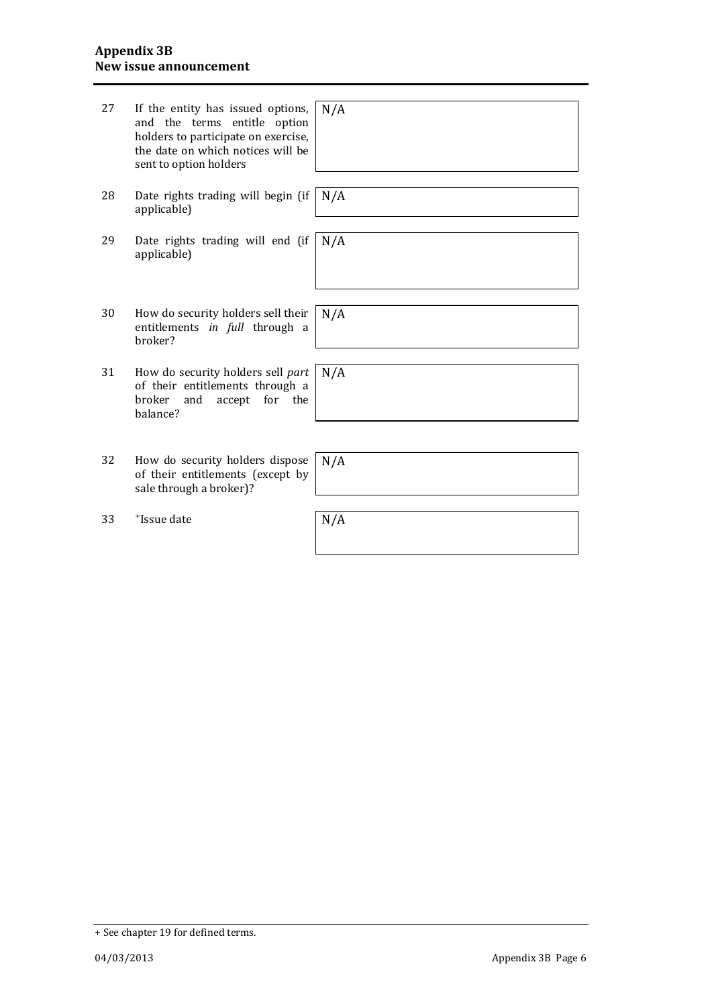| 27 | If the entity has issued options,<br>and the terms entitle option<br>holders to participate on exercise,<br>the date on which notices will be<br>sent to option holders | N/A |
|----|-------------------------------------------------------------------------------------------------------------------------------------------------------------------------|-----|
| 28 | Date rights trading will begin (if<br>applicable)                                                                                                                       | N/A |
| 29 | Date rights trading will end (if<br>applicable)                                                                                                                         | N/A |
|    |                                                                                                                                                                         |     |
| 30 | How do security holders sell their<br>entitlements in full through a<br>broker?                                                                                         | N/A |
|    |                                                                                                                                                                         |     |
| 31 | How do security holders sell part<br>of their entitlements through a<br>accept for the<br>broker<br>and<br>balance?                                                     | N/A |
|    |                                                                                                                                                                         |     |
|    |                                                                                                                                                                         |     |
| 32 | How do security holders dispose<br>of their entitlements (except by<br>sale through a broker)?                                                                          | N/A |
|    |                                                                                                                                                                         |     |
| 33 | <sup>+</sup> Issue date                                                                                                                                                 | N/A |

<sup>+</sup> See chapter 19 for defined terms.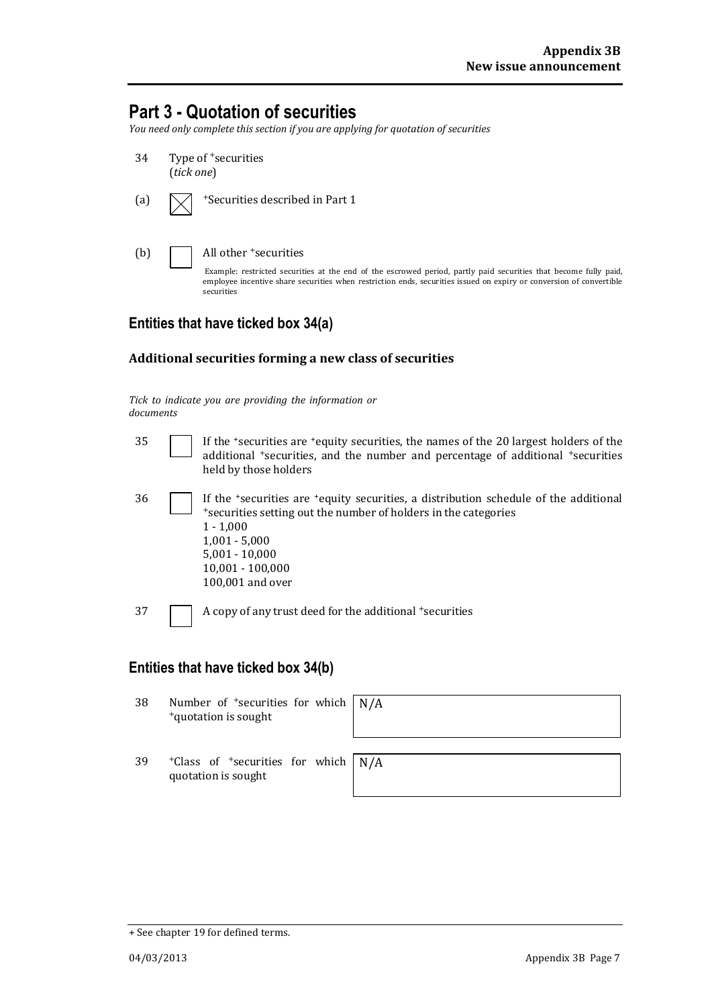## **Part 3 - Quotation of securities**

*You need only complete this section if you are applying for quotation of securities*

| 34  | Type of <sup>+</sup> securities<br>(tick one)                                                                                                                                                                                                                                              |
|-----|--------------------------------------------------------------------------------------------------------------------------------------------------------------------------------------------------------------------------------------------------------------------------------------------|
| (a) | <sup>+</sup> Securities described in Part 1                                                                                                                                                                                                                                                |
| (b) | All other <sup>+</sup> securities<br>Example: restricted securities at the end of the escrowed period, partly paid securities that become fully paid,<br>employee incentive share securities when restriction ends, securities issued on expiry or conversion of convertible<br>securities |

#### **Entities that have ticked box 34(a)**

#### **Additional securities forming a new class of securities**

*Tick to indicate you are providing the information or documents*

| 35 | If the 'securities are 'equity securities, the names of the 20 largest holders of the<br>additional <i>*securities</i> , and the number and percentage of additional <i>*securities</i><br>held by those holders                                                    |
|----|---------------------------------------------------------------------------------------------------------------------------------------------------------------------------------------------------------------------------------------------------------------------|
| 36 | If the <i>*securities</i> are <i>*equity</i> securities, a distribution schedule of the additional<br>*securities setting out the number of holders in the categories<br>$1 - 1,000$<br>$1,001 - 5,000$<br>$5,001 - 10,000$<br>10,001 - 100,000<br>100,001 and over |
| 37 | A copy of any trust deed for the additional +securities                                                                                                                                                                                                             |

### **Entities that have ticked box 34(b)**

| 38 | Number of $\pm$ securities for which $\mid N/A \rangle$<br><sup>+</sup> quotation is sought |  |
|----|---------------------------------------------------------------------------------------------|--|
| 39 | $+$ Class of $+$ securities for which $\vert N/A \rangle$<br>quotation is sought            |  |

<sup>+</sup> See chapter 19 for defined terms.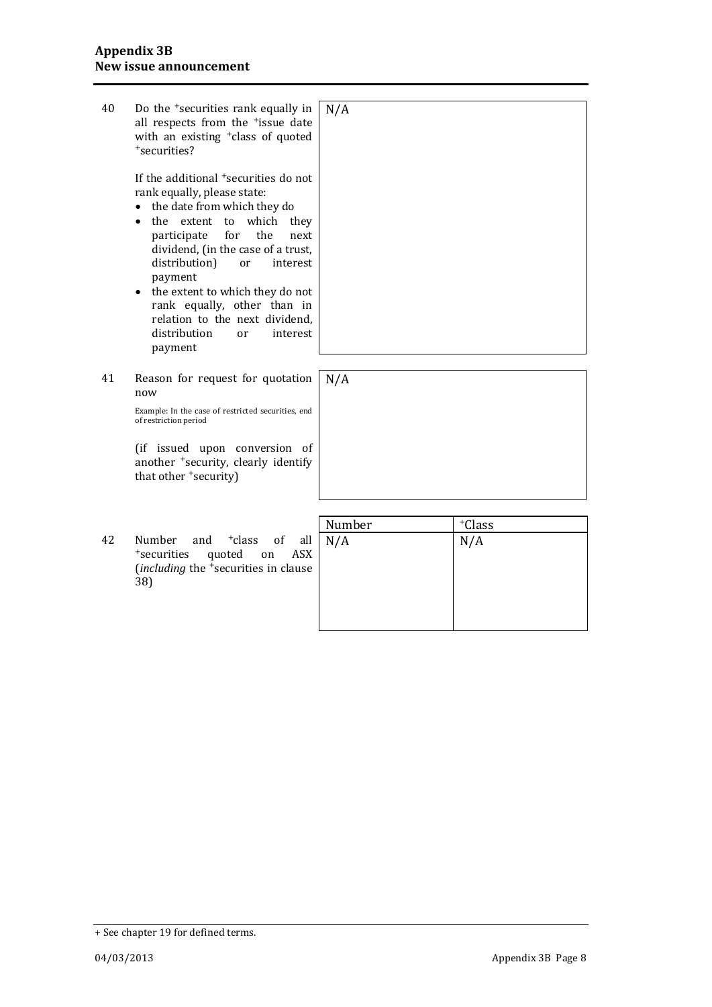| 40 | Do the <sup>+</sup> securities rank equally in<br>all respects from the <sup>+</sup> issue date<br>with an existing <sup>+</sup> class of quoted<br><sup>+</sup> securities?<br>If the additional <sup>+</sup> securities do not                                                                                                                                              | N/A |
|----|-------------------------------------------------------------------------------------------------------------------------------------------------------------------------------------------------------------------------------------------------------------------------------------------------------------------------------------------------------------------------------|-----|
|    | rank equally, please state:<br>the date from which they do<br>the extent to which they<br>the<br>participate<br>for<br>next<br>dividend, (in the case of a trust,<br>distribution)<br>interest<br>or<br>payment<br>the extent to which they do not<br>$\bullet$<br>rank equally, other than in<br>relation to the next dividend.<br>distribution<br>interest<br>or<br>payment |     |
|    |                                                                                                                                                                                                                                                                                                                                                                               |     |
| 41 | Reason for request for quotation<br>now                                                                                                                                                                                                                                                                                                                                       | N/A |
|    | Example: In the case of restricted securities, end<br>of restriction period                                                                                                                                                                                                                                                                                                   |     |
|    | (if issued upon conversion of<br>another <sup>+</sup> security, clearly identify<br>that other 'security)                                                                                                                                                                                                                                                                     |     |

42 Number and <sup>+</sup>class of all <sup>+</sup>securities quoted on ASX (*including* the <sup>+</sup>securities in clause 38)

| Number | +Class |
|--------|--------|
| N/A    | N/A    |
|        |        |
|        |        |
|        |        |
|        |        |
|        |        |

<sup>+</sup> See chapter 19 for defined terms.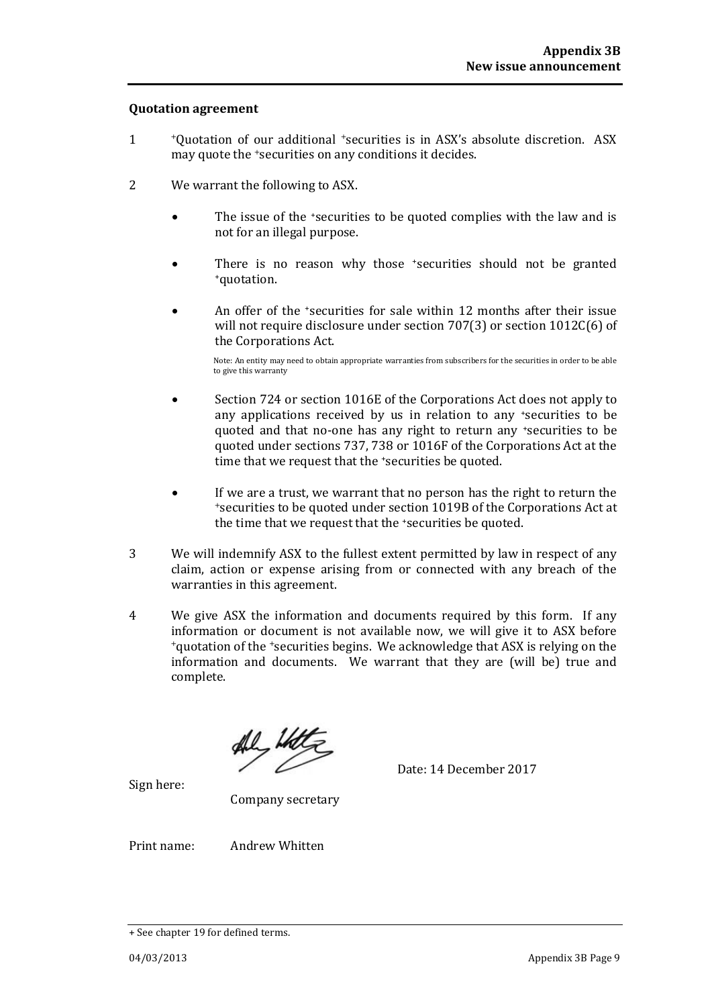#### **Quotation agreement**

- 1 <sup>+</sup>Quotation of our additional +securities is in ASX's absolute discretion. ASX may quote the +securities on any conditions it decides.
- 2 We warrant the following to ASX.
	- The issue of the *securities to be quoted complies with the law and is* not for an illegal purpose.
	- There is no reason why those *\*securities* should not be granted <sup>+</sup>quotation.
	- An offer of the +securities for sale within 12 months after their issue will not require disclosure under section 707(3) or section 1012C(6) of the Corporations Act.

Note: An entity may need to obtain appropriate warranties from subscribers for the securities in order to be able to give this warranty

- Section 724 or section 1016E of the Corporations Act does not apply to any applications received by us in relation to any +securities to be quoted and that no-one has any right to return any \*securities to be quoted under sections 737, 738 or 1016F of the Corporations Act at the time that we request that the 'securities be quoted.
- If we are a trust, we warrant that no person has the right to return the <sup>+</sup>securities to be quoted under section 1019B of the Corporations Act at the time that we request that the +securities be quoted.
- 3 We will indemnify ASX to the fullest extent permitted by law in respect of any claim, action or expense arising from or connected with any breach of the warranties in this agreement.
- 4 We give ASX the information and documents required by this form. If any information or document is not available now, we will give it to ASX before <sup>+</sup>quotation of the +securities begins. We acknowledge that ASX is relying on the information and documents. We warrant that they are (will be) true and complete.

Date: 14 December 2017

Sign here:

Company secretary

Print name: Andrew Whitten

<sup>+</sup> See chapter 19 for defined terms.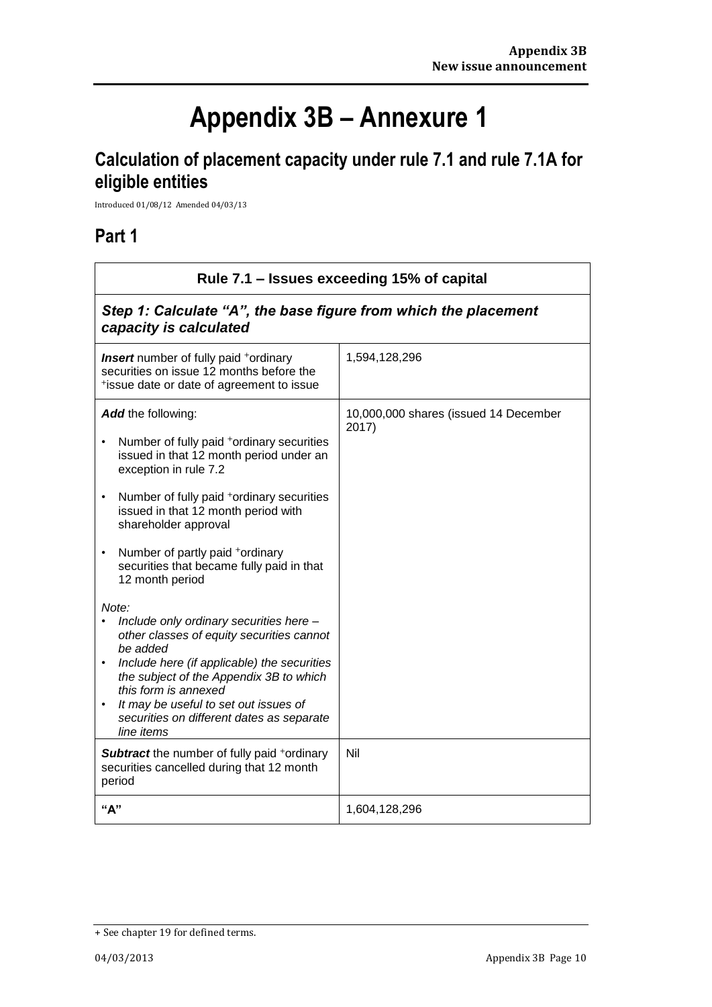# **Appendix 3B – Annexure 1**

# **Calculation of placement capacity under rule 7.1 and rule 7.1A for eligible entities**

Introduced 01/08/12 Amended 04/03/13

### **Part 1**

 $\Gamma$ 

| Rule 7.1 - Issues exceeding 15% of capital                                                                                                                                                                                                                                                                                                                                                              |                                                |  |
|---------------------------------------------------------------------------------------------------------------------------------------------------------------------------------------------------------------------------------------------------------------------------------------------------------------------------------------------------------------------------------------------------------|------------------------------------------------|--|
| Step 1: Calculate "A", the base figure from which the placement<br>capacity is calculated                                                                                                                                                                                                                                                                                                               |                                                |  |
| <b>Insert</b> number of fully paid <sup>+</sup> ordinary<br>securities on issue 12 months before the<br>*issue date or date of agreement to issue                                                                                                                                                                                                                                                       | 1,594,128,296                                  |  |
| Add the following:<br>Number of fully paid +ordinary securities<br>issued in that 12 month period under an<br>exception in rule 7.2<br>Number of fully paid <sup>+</sup> ordinary securities<br>$\bullet$<br>issued in that 12 month period with<br>shareholder approval<br>Number of partly paid +ordinary<br>$\bullet$<br>securities that became fully paid in that<br>12 month period                | 10,000,000 shares (issued 14 December<br>2017) |  |
| Note:<br>Include only ordinary securities here -<br>other classes of equity securities cannot<br>be added<br>Include here (if applicable) the securities<br>$\bullet$<br>the subject of the Appendix 3B to which<br>this form is annexed<br>It may be useful to set out issues of<br>٠<br>securities on different dates as separate<br>line items<br><b>Subtract</b> the number of fully paid +ordinary | Nil                                            |  |
| securities cancelled during that 12 month<br>period                                                                                                                                                                                                                                                                                                                                                     |                                                |  |
| "А"                                                                                                                                                                                                                                                                                                                                                                                                     | 1,604,128,296                                  |  |

<sup>+</sup> See chapter 19 for defined terms.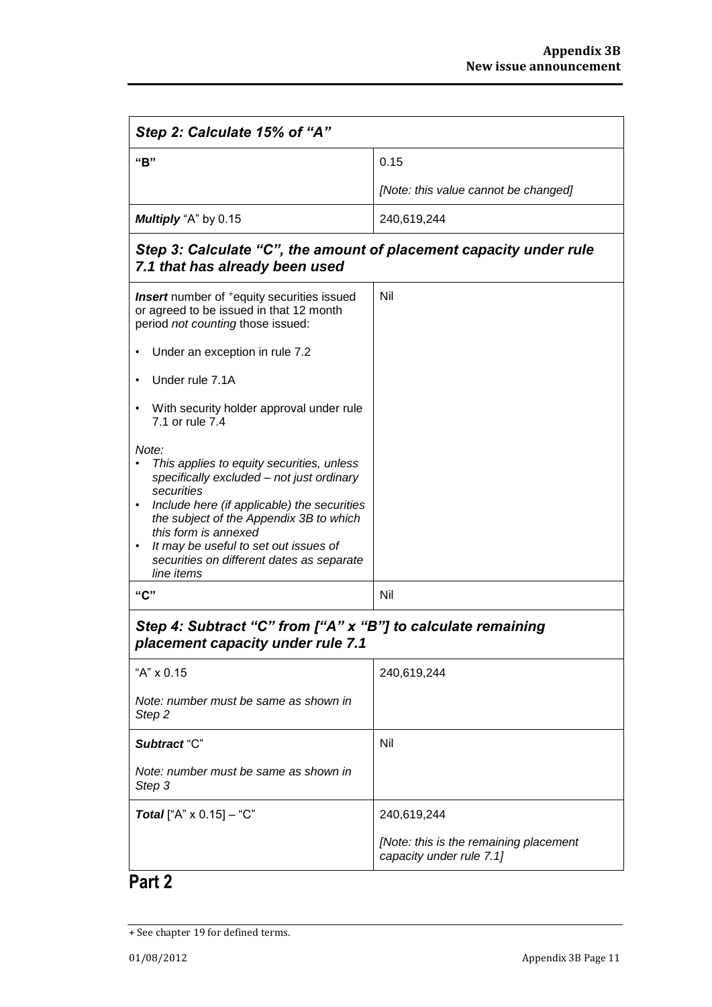| Step 2: Calculate 15% of "A"                                                                                                                                                                                                                                                                                                                                  |                                                                    |  |
|---------------------------------------------------------------------------------------------------------------------------------------------------------------------------------------------------------------------------------------------------------------------------------------------------------------------------------------------------------------|--------------------------------------------------------------------|--|
| "B"                                                                                                                                                                                                                                                                                                                                                           | 0.15                                                               |  |
|                                                                                                                                                                                                                                                                                                                                                               | [Note: this value cannot be changed]                               |  |
| Multiply "A" by 0.15                                                                                                                                                                                                                                                                                                                                          | 240,619,244                                                        |  |
| Step 3: Calculate "C", the amount of placement capacity under rule<br>7.1 that has already been used                                                                                                                                                                                                                                                          |                                                                    |  |
| <b>Insert</b> number of <sup>+</sup> equity securities issued<br>or agreed to be issued in that 12 month<br>period not counting those issued:                                                                                                                                                                                                                 | Nil                                                                |  |
| Under an exception in rule 7.2                                                                                                                                                                                                                                                                                                                                |                                                                    |  |
| Under rule 7.1A<br>$\bullet$                                                                                                                                                                                                                                                                                                                                  |                                                                    |  |
| With security holder approval under rule<br>7.1 or rule 7.4                                                                                                                                                                                                                                                                                                   |                                                                    |  |
| Note:<br>This applies to equity securities, unless<br>specifically excluded - not just ordinary<br>securities<br>Include here (if applicable) the securities<br>$\bullet$<br>the subject of the Appendix 3B to which<br>this form is annexed<br>It may be useful to set out issues of<br>$\bullet$<br>securities on different dates as separate<br>line items |                                                                    |  |
| "C"                                                                                                                                                                                                                                                                                                                                                           | Nil                                                                |  |
| Step 4: Subtract "C" from ["A" x "B"] to calculate remaining<br>placement capacity under rule 7.1                                                                                                                                                                                                                                                             |                                                                    |  |
| "A" x 0.15                                                                                                                                                                                                                                                                                                                                                    | 240,619,244                                                        |  |
| Note: number must be same as shown in<br>Step <sub>2</sub>                                                                                                                                                                                                                                                                                                    |                                                                    |  |
| Subtract "C"                                                                                                                                                                                                                                                                                                                                                  | Nil                                                                |  |
| Note: number must be same as shown in<br>Step 3                                                                                                                                                                                                                                                                                                               |                                                                    |  |
| <b>Total</b> ["A" $\times$ 0.15] - "C"                                                                                                                                                                                                                                                                                                                        | 240,619,244                                                        |  |
|                                                                                                                                                                                                                                                                                                                                                               | [Note: this is the remaining placement<br>capacity under rule 7.1] |  |

## **Part 2**

<sup>+</sup> See chapter 19 for defined terms.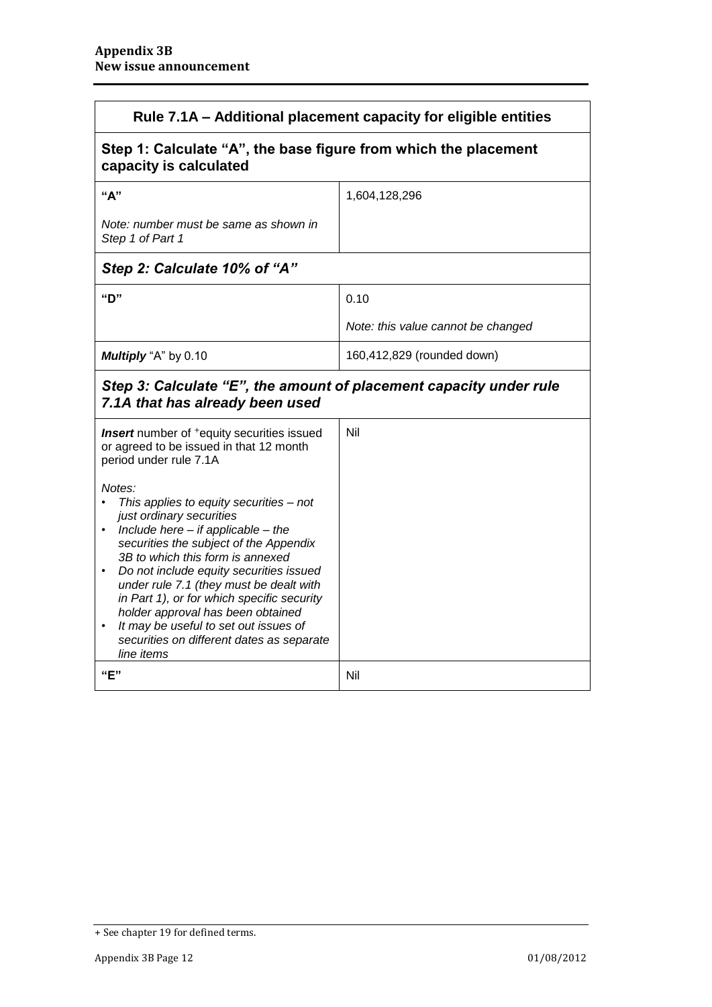| Rule 7.1A - Additional placement capacity for eligible entities                                                                                                                                                                                                                                                                                                                                                                                                                    |                                    |
|------------------------------------------------------------------------------------------------------------------------------------------------------------------------------------------------------------------------------------------------------------------------------------------------------------------------------------------------------------------------------------------------------------------------------------------------------------------------------------|------------------------------------|
| Step 1: Calculate "A", the base figure from which the placement<br>capacity is calculated                                                                                                                                                                                                                                                                                                                                                                                          |                                    |
| "A"                                                                                                                                                                                                                                                                                                                                                                                                                                                                                | 1,604,128,296                      |
| Note: number must be same as shown in<br>Step 1 of Part 1                                                                                                                                                                                                                                                                                                                                                                                                                          |                                    |
| Step 2: Calculate 10% of "A"                                                                                                                                                                                                                                                                                                                                                                                                                                                       |                                    |
| "יח                                                                                                                                                                                                                                                                                                                                                                                                                                                                                | 0.10                               |
|                                                                                                                                                                                                                                                                                                                                                                                                                                                                                    | Note: this value cannot be changed |
| Multiply "A" by 0.10                                                                                                                                                                                                                                                                                                                                                                                                                                                               | 160,412,829 (rounded down)         |
| Step 3: Calculate "E", the amount of placement capacity under rule<br>7.1A that has already been used                                                                                                                                                                                                                                                                                                                                                                              |                                    |
| Insert number of <sup>+</sup> equity securities issued<br>or agreed to be issued in that 12 month<br>period under rule 7.1A                                                                                                                                                                                                                                                                                                                                                        | Nil                                |
| Notes:<br>This applies to equity securities - not<br>just ordinary securities<br>Include here $-$ if applicable $-$ the<br>securities the subject of the Appendix<br>3B to which this form is annexed<br>Do not include equity securities issued<br>under rule 7.1 (they must be dealt with<br>in Part 1), or for which specific security<br>holder approval has been obtained<br>It may be useful to set out issues of<br>securities on different dates as separate<br>line items |                                    |
| "E"                                                                                                                                                                                                                                                                                                                                                                                                                                                                                | Nil                                |

<sup>+</sup> See chapter 19 for defined terms.